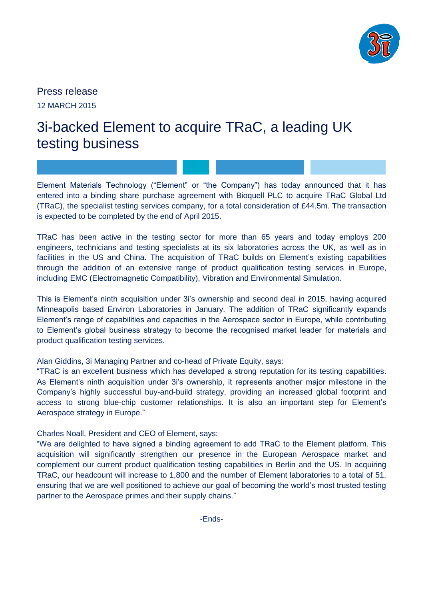

Press release 12 MARCH 2015

# 3i-backed Element to acquire TRaC, a leading UK testing business

Element Materials Technology ("Element" or "the Company") has today announced that it has entered into a binding share purchase agreement with Bioquell PLC to acquire TRaC Global Ltd (TRaC), the specialist testing services company, for a total consideration of £44.5m. The transaction is expected to be completed by the end of April 2015.

TRaC has been active in the testing sector for more than 65 years and today employs 200 engineers, technicians and testing specialists at its six laboratories across the UK, as well as in facilities in the US and China. The acquisition of TRaC builds on Element's existing capabilities through the addition of an extensive range of product qualification testing services in Europe, including EMC (Electromagnetic Compatibility), Vibration and Environmental Simulation.

This is Element's ninth acquisition under 3i's ownership and second deal in 2015, having acquired Minneapolis based Environ Laboratories in January. The addition of TRaC significantly expands Element's range of capabilities and capacities in the Aerospace sector in Europe, while contributing to Element's global business strategy to become the recognised market leader for materials and product qualification testing services.

Alan Giddins, 3i Managing Partner and co-head of Private Equity, says:

"TRaC is an excellent business which has developed a strong reputation for its testing capabilities. As Element's ninth acquisition under 3i's ownership, it represents another major milestone in the Company's highly successful buy-and-build strategy, providing an increased global footprint and access to strong blue-chip customer relationships. It is also an important step for Element's Aerospace strategy in Europe."

Charles Noall, President and CEO of Element, says:

"We are delighted to have signed a binding agreement to add TRaC to the Element platform. This acquisition will significantly strengthen our presence in the European Aerospace market and complement our current product qualification testing capabilities in Berlin and the US. In acquiring TRaC, our headcount will increase to 1,800 and the number of Element laboratories to a total of 51, ensuring that we are well positioned to achieve our goal of becoming the world's most trusted testing partner to the Aerospace primes and their supply chains."

-Ends-